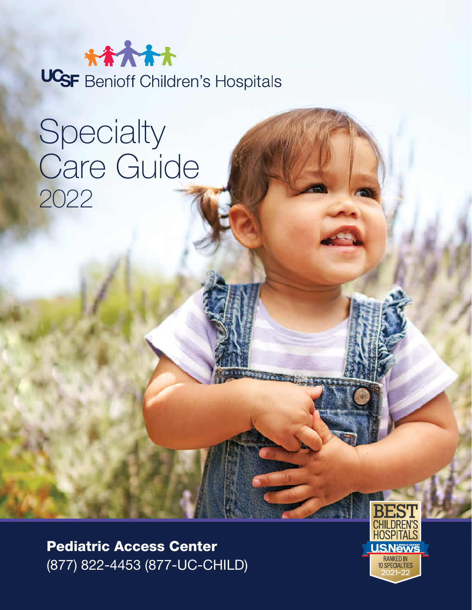# \*\*\*\*\* UCSF Benioff Children's Hospitals

# Specialty Care Guide 2022

Pediatric Access Center (877) 822-4453 (877-UC-CHILD)

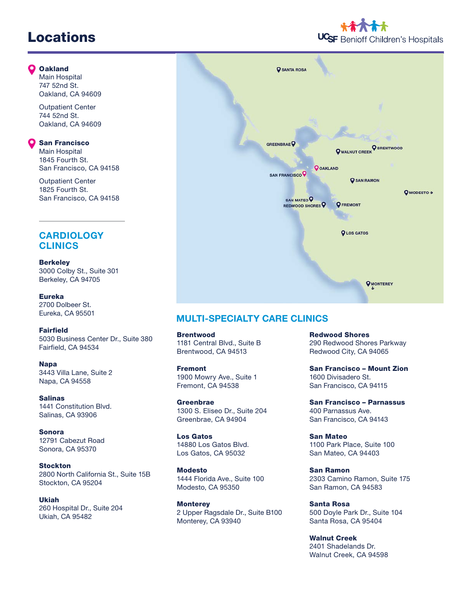# Locations

#### **[Oakland](mailto:https://www.ucsfbenioffchildrens.org/locations/oakland-main-hospital?subject=)**

[Main Hospital](mailto:https://www.ucsfbenioffchildrens.org/locations/oakland-main-hospital?subject=) [747 52nd St.](mailto:https://www.ucsfbenioffchildrens.org/locations/oakland-main-hospital?subject=) [Oakland, CA 94609](mailto:https://www.ucsfbenioffchildrens.org/locations/oakland-main-hospital?subject=)

[Outpatient Center](mailto:https://www.ucsfbenioffchildrens.org/locations/oakland-outpatient-center?subject=) [744 52nd St.](mailto:https://www.ucsfbenioffchildrens.org/locations/oakland-outpatient-center?subject=) [Oakland, CA 94609](mailto:https://www.ucsfbenioffchildrens.org/locations/oakland-outpatient-center?subject=)

#### [San Francisco](mailto:https://www.ucsfbenioffchildrens.org/locations/mission-bay?subject=) O

[Main Hospital](mailto:https://www.ucsfbenioffchildrens.org/locations/mission-bay?subject=) [1845 Fourth St.](mailto:https://www.ucsfbenioffchildrens.org/locations/mission-bay?subject=) [San Francisco, CA 94158](mailto:https://www.ucsfbenioffchildrens.org/locations/mission-bay?subject=)

[Outpatient Center](mailto:https://www.ucsfbenioffchildrens.org/locations/san-francisco-outpatient-center?subject=)  [1825 Fourth St.](mailto:https://www.ucsfbenioffchildrens.org/locations/san-francisco-outpatient-center?subject=) [San Francisco, CA 94158](mailto:https://www.ucsfbenioffchildrens.org/locations/san-francisco-outpatient-center?subject=)

### **CARDIOLOGY [CLINICS](mailto:https://www.ucsfbenioffchildrens.org/locations/san-francisco-outpatient-center?subject=)**

**Berkelev** 3000 Colby St., Suite 301 Berkeley, CA 94705

Eureka 2700 Dolbeer St. Eureka, CA 95501

Fairfield 5030 Business Center Dr., Suite 380 Fairfield, CA 94534

Napa 3443 Villa Lane, Suite 2 Napa, CA 94558

Salinas 1441 Constitution Blvd. Salinas, CA 93906

Sonora 12791 Cabezut Road Sonora, CA 95370

Stockton 2800 North California St., Suite 15B Stockton, CA 95204

Ukiah 260 Hospital Dr., Suite 204 Ukiah, CA 95482



GREENBRAE<sup>Q</sup>

**Q** SANTA ROSA

# MULTI-SPECIALTY CARE CLINICS

[Brentwood](https://www.ucsfbenioffchildrens.org/locations/brentwood) [1181 Central Blvd., Suite B](https://www.ucsfbenioffchildrens.org/locations/brentwood) [Brentwood, CA 94513](https://www.ucsfbenioffchildrens.org/locations/brentwood)

[Fremont](https://www.ucsfbenioffchildrens.org/locations/fremont) [1900 Mowry Ave., Suite 1](https://www.ucsfbenioffchildrens.org/locations/fremont) [Fremont, CA 94538](https://www.ucsfbenioffchildrens.org/locations/fremont)

**[Greenbrae](https://www.ucsfbenioffchildrens.org/locations/greenbrae)** [1300 S. Eliseo Dr., Suite 204](https://www.ucsfbenioffchildrens.org/locations/greenbrae) [Greenbrae, CA 94904](https://www.ucsfbenioffchildrens.org/locations/greenbrae)

[Los Gatos](https://www.ucsfbenioffchildrens.org/locations/los-gatos)  [14880 Los Gatos Blvd.](https://www.ucsfbenioffchildrens.org/locations/los-gatos)  [Los Gatos, CA 95032](https://www.ucsfbenioffchildrens.org/locations/los-gatos)

**Modesto** [1444 Florida Ave., Suite 100](https://www.ucsfbenioffchildrens.org/locations/modesto) [Modesto, CA 95350](https://www.ucsfbenioffchildrens.org/locations/modesto)

**Monterey** 2 Upper Ragsdale Dr., Suite B100 Monterey, CA 93940

[Redwood Shores](https://www.ucsfbenioffchildrens.org/locations/redwood-shores) [290 Redwood Shores Parkway](https://www.ucsfbenioffchildrens.org/locations/redwood-shores) [Redwood City, CA 94065](https://www.ucsfbenioffchildrens.org/locations/redwood-shores)

[San Francisco – Mount Zion](https://www.ucsfbenioffchildrens.org/locations/mount-zion) [1600 Divisadero St.](https://www.ucsfbenioffchildrens.org/locations/mount-zion) [San Francisco, CA 94115](https://www.ucsfbenioffchildrens.org/locations/mount-zion)

[San Francisco – Parnassus](https://www.ucsfbenioffchildrens.org/locations/parnassus) [400 Parnassus Ave.](https://www.ucsfbenioffchildrens.org/locations/parnassus) [San Francisco, CA 94143](https://www.ucsfbenioffchildrens.org/locations/parnassus)

[San Mateo](https://www.ucsfbenioffchildrens.org/locations/san-mateo)  [1100 Park Place, Suite 100](https://www.ucsfbenioffchildrens.org/locations/san-mateo) [San Mateo, CA 94403](https://www.ucsfbenioffchildrens.org/locations/san-mateo)

[San Ramon](https://www.ucsfbenioffchildrens.org/locations/san-ramon)  [2303 Camino Ramon, Suite 175](https://www.ucsfbenioffchildrens.org/locations/san-ramon)  [San Ramon, CA 94583](https://www.ucsfbenioffchildrens.org/locations/san-ramon)

[Santa Rosa](https://www.ucsfbenioffchildrens.org/locations/santa-rosa)  [500 Doyle Park Dr., Suite 104](https://www.ucsfbenioffchildrens.org/locations/santa-rosa) [Santa Rosa, CA 95404](https://www.ucsfbenioffchildrens.org/locations/santa-rosa)

[Walnut Creek](https://www.ucsfbenioffchildrens.org/locations/walnut-creek) [2401 Shadelands Dr.](https://www.ucsfbenioffchildrens.org/locations/walnut-creek) [Walnut Creek, CA 94598](https://www.ucsfbenioffchildrens.org/locations/walnut-creek)



**Q** BRENTWOOD

© MODESTO →

**O** WALNUT CREEK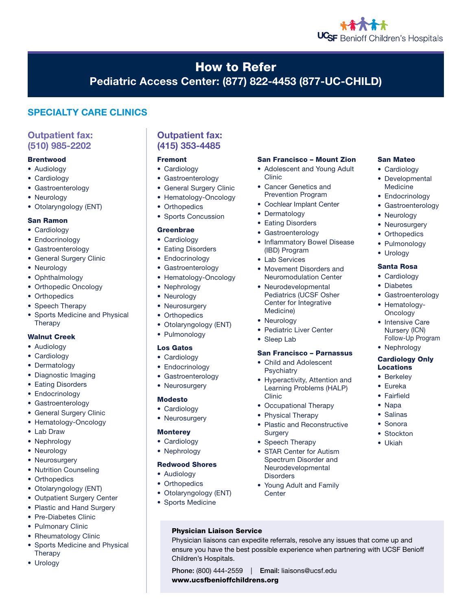

San Mateo • Cardiology • Developmental Medicine • Endocrinology • Gastroenterology • Neurology • Neurosurgery • Orthopedics • Pulmonology • Urology Santa Rosa • Cardiology • Diabetes

• Gastroenterology • Hematology-**Oncology** • Intensive Care Nursery (ICN) Follow-Up Program

• Nephrology Cardiology Only Locations • Berkeley • Eureka • Fairfield • Napa • Salinas • Sonora • Stockton • Ukiah

# [How to Refer](mailto:https://www.ucsfbenioffchildrens.org/refer-a-patient?subject=)

# [Pediatric Access Center: \(877\) 822-4453 \(877-UC-CHILD\)](mailto:https://www.ucsfbenioffchildrens.org/refer-a-patient?subject=)

# [SPECIALTY CARE CLINICS](mailto:https://www.ucsfbenioffchildrens.org/medical-professionals/specialty-care-clinic-schedules?subject=)

### Outpatient fax: (510) 985-2202

#### **Brentwood**

- Audiology
- Cardiology
- Gastroenterology
- Neurology
- Otolaryngology (ENT)

#### San Ramon

- Cardiology
- Endocrinology
- Gastroenterology
- General Surgery Clinic
- Neurology
- Ophthalmology
- Orthopedic Oncology
- Orthopedics
- Speech Therapy
- Sports Medicine and Physical **Therapy**

#### Walnut Creek

- Audiology
- Cardiology
- Dermatology
- Diagnostic Imaging
- Eating Disorders
- Endocrinology
- Gastroenterology
- General Surgery Clinic
- Hematology-Oncology
- Lab Draw
- Nephrology
- Neurology
- Neurosurgery
- Nutrition Counseling
- Orthopedics
- Otolaryngology (ENT)
- Outpatient Surgery Center
- Plastic and Hand Surgery
- Pre-Diabetes Clinic
- Pulmonary Clinic
- Rheumatology Clinic
- Sports Medicine and Physical **Therapy**
- Urology

## Outpatient fax: (415) 353-4485

#### Fremont

- Cardiology
- Gastroenterology
- General Surgery Clinic
- Hematology-Oncology
- Orthopedics
- Sports Concussion

#### **Greenbrae**

- Cardiology
- Eating Disorders
- Endocrinology
- Gastroenterology
- Hematology-Oncology
- Nephrology
- Neurology
- Neurosurgery
- Orthopedics
- Otolaryngology (ENT)
- Pulmonology

#### Los Gatos

- Cardiology
- Endocrinology
- Gastroenterology
- Neurosurgery

#### Modesto

- Cardiology
- Neurosurgery

#### **Monterey**

- Cardiology
- Nephrology

#### Redwood Shores

- Audiology
- Orthopedics
- Otolaryngology (ENT)

[Physician Liaison Service](mailto:https://www.ucsfbenioffchildrens.org/medical-professionals/physician-liaison-service?subject=)

[www.ucsfbenioffchildrens.org](mailto:https://www.ucsfbenioffchildrens.org/?subject=)

[Children's Hospitals.](mailto:https://www.ucsfbenioffchildrens.org/medical-professionals/physician-liaison-service?subject=)

• Sports Medicine

#### San Francisco – Mount Zion

- Adolescent and Young Adult Clinic
- Cancer Genetics and Prevention Program
- Cochlear Implant Center
- Dermatology
- Eating Disorders
- Gastroenterology
- Inflammatory Bowel Disease (IBD) Program
- Lab Services
- Movement Disorders and Neuromodulation Center
- Neurodevelopmental Pediatrics (UCSF Osher Center for Integrative Medicine)
- Neurology
- Pediatric Liver Center
- Sleep Lab

#### San Francisco – Parnassus

- Child and Adolescent **Psychiatry**
- Hyperactivity, Attention and Learning Problems (HALP) Clinic

• Plastic and Reconstructive

• Young Adult and Family

[Physician liaisons can expedite referrals, resolve any issues that come up and](mailto:https://www.ucsfbenioffchildrens.org/medical-professionals/physician-liaison-service?subject=)  [ensure you have the best possible experience when partnering with UCSF Benioff](mailto:https://www.ucsfbenioffchildrens.org/medical-professionals/physician-liaison-service?subject=) 

• Occupational Therapy • Physical Therapy

**Surgery** • Speech Therapy • STAR Center for Autism Spectrum Disorder and Neurodevelopmental

**Disorders** 

**Center** 

Phone: (800) 444-2559 | Email: [liaisons@ucsf.edu](mailto:liaisons%40ucsf.edu?subject=)